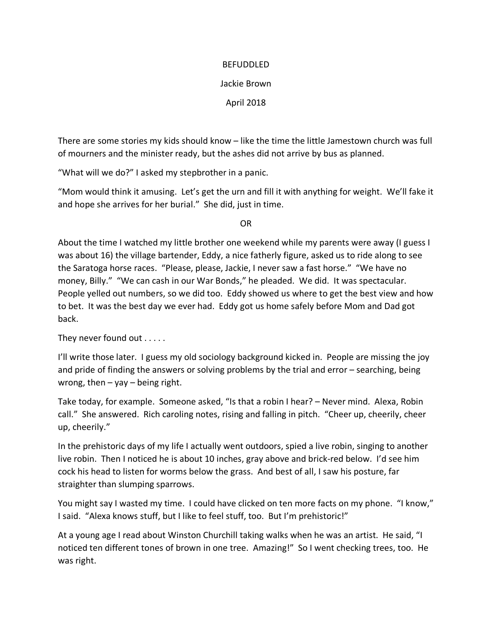## BEFUDDLED

## Jackie Brown

April 2018

There are some stories my kids should know – like the time the little Jamestown church was full of mourners and the minister ready, but the ashes did not arrive by bus as planned.

"What will we do?" I asked my stepbrother in a panic.

"Mom would think it amusing. Let's get the urn and fill it with anything for weight. We'll fake it and hope she arrives for her burial." She did, just in time.

OR

About the time I watched my little brother one weekend while my parents were away (I guess I was about 16) the village bartender, Eddy, a nice fatherly figure, asked us to ride along to see the Saratoga horse races. "Please, please, Jackie, I never saw a fast horse." "We have no money, Billy." "We can cash in our War Bonds," he pleaded. We did. It was spectacular. People yelled out numbers, so we did too. Eddy showed us where to get the best view and how to bet. It was the best day we ever had. Eddy got us home safely before Mom and Dad got back.

They never found out . . . . .

I'll write those later. I guess my old sociology background kicked in. People are missing the joy and pride of finding the answers or solving problems by the trial and error – searching, being wrong, then  $-$  yay  $-$  being right.

Take today, for example. Someone asked, "Is that a robin I hear? – Never mind. Alexa, Robin call." She answered. Rich caroling notes, rising and falling in pitch. "Cheer up, cheerily, cheer up, cheerily."

In the prehistoric days of my life I actually went outdoors, spied a live robin, singing to another live robin. Then I noticed he is about 10 inches, gray above and brick-red below. I'd see him cock his head to listen for worms below the grass. And best of all, I saw his posture, far straighter than slumping sparrows.

You might say I wasted my time. I could have clicked on ten more facts on my phone. "I know," I said. "Alexa knows stuff, but I like to feel stuff, too. But I'm prehistoric!"

At a young age I read about Winston Churchill taking walks when he was an artist. He said, "I noticed ten different tones of brown in one tree. Amazing!" So I went checking trees, too. He was right.